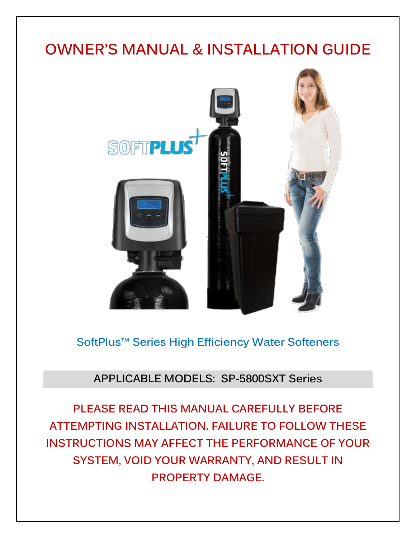# **OWNER'S MANUAL & INSTALLATION GUIDE**



**SoftPlus™ Series High Efficiency Water Softeners**

## **APPLICABLE MODELS: SP-5800SXT Series**

**PLEASE READ THIS MANUAL CAREFULLY BEFORE ATTEMPTING INSTALLATION. FAILURE TO FOLLOW THESE INSTRUCTIONS MAY AFFECT THE PERFORMANCE OF YOUR SYSTEM, VOID YOUR WARRANTY, AND RESULT IN PROPERTY DAMAGE.**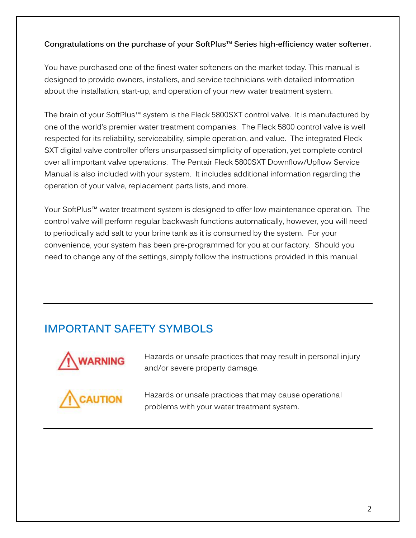#### **Congratulations on the purchase of your SoftPlus™ Series high-efficiency water softener.**

You have purchased one of the finest water softeners on the market today. This manual is designed to provide owners, installers, and service technicians with detailed information about the installation, start-up, and operation of your new water treatment system.

The brain of your SoftPlus™ system is the Fleck 5800SXT control valve. It is manufactured by one of the world's premier water treatment companies. The Fleck 5800 control valve is well respected for its reliability, serviceability, simple operation, and value. The integrated Fleck SXT digital valve controller offers unsurpassed simplicity of operation, yet complete control over all important valve operations. The Pentair Fleck 5800SXT Downflow/Upflow Service Manual is also included with your system. It includes additional information regarding the operation of your valve, replacement parts lists, and more.

Your SoftPlus™ water treatment system is designed to offer low maintenance operation. The control valve will perform regular backwash functions automatically, however, you will need to periodically add salt to your brine tank as it is consumed by the system. For your convenience, your system has been pre-programmed for you at our factory. Should you need to change any of the settings, simply follow the instructions provided in this manual.

## **IMPORTANT SAFETY SYMBOLS**



Hazards or unsafe practices that may result in personal injury and/or severe property damage.



Hazards or unsafe practices that may cause operational problems with your water treatment system.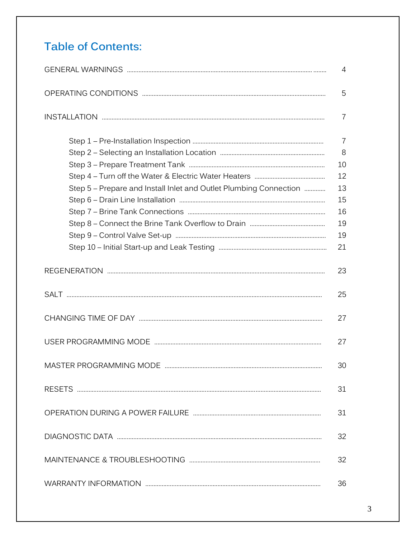# **Table of Contents:**

| 4                                                                 |                     |  |  |  |  |
|-------------------------------------------------------------------|---------------------|--|--|--|--|
|                                                                   | 5                   |  |  |  |  |
|                                                                   | $\overline{7}$      |  |  |  |  |
|                                                                   | $\overline{7}$<br>8 |  |  |  |  |
|                                                                   | 10                  |  |  |  |  |
|                                                                   | 12                  |  |  |  |  |
| Step 5 – Prepare and Install Inlet and Outlet Plumbing Connection | 13                  |  |  |  |  |
|                                                                   | 15                  |  |  |  |  |
|                                                                   | 16                  |  |  |  |  |
|                                                                   | 19                  |  |  |  |  |
|                                                                   | 19                  |  |  |  |  |
|                                                                   | 21                  |  |  |  |  |
|                                                                   | 23                  |  |  |  |  |
|                                                                   | 25                  |  |  |  |  |
|                                                                   | 27                  |  |  |  |  |
|                                                                   | 27                  |  |  |  |  |
| MASTER PROGRAMMING MODE                                           | 30                  |  |  |  |  |
|                                                                   | 31                  |  |  |  |  |
|                                                                   | 31                  |  |  |  |  |
|                                                                   | 32                  |  |  |  |  |
|                                                                   | 32                  |  |  |  |  |
|                                                                   | 36                  |  |  |  |  |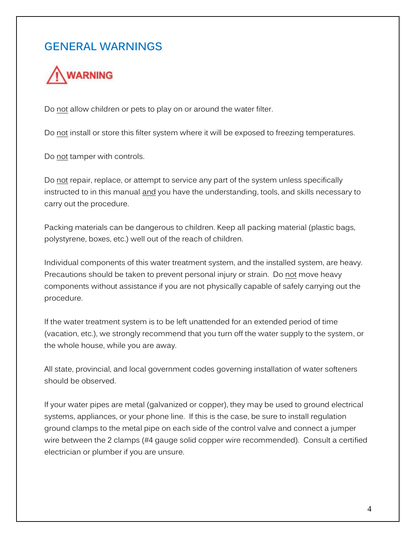## **GENERAL WARNINGS**



Do not allow children or pets to play on or around the water filter.

Do not install or store this filter system where it will be exposed to freezing temperatures.

Do not tamper with controls.

Do not repair, replace, or attempt to service any part of the system unless specifically instructed to in this manual and you have the understanding, tools, and skills necessary to carry out the procedure.

Packing materials can be dangerous to children. Keep all packing material (plastic bags, polystyrene, boxes, etc.) well out of the reach of children.

Individual components of this water treatment system, and the installed system, are heavy. Precautions should be taken to prevent personal injury or strain. Do not move heavy components without assistance if you are not physically capable of safely carrying out the procedure.

If the water treatment system is to be left unattended for an extended period of time (vacation, etc.), we strongly recommend that you turn off the water supply to the system, or the whole house, while you are away.

All state, provincial, and local government codes governing installation of water softeners should be observed.

If your water pipes are metal (galvanized or copper), they may be used to ground electrical systems, appliances, or your phone line. If this is the case, be sure to install regulation ground clamps to the metal pipe on each side of the control valve and connect a jumper wire between the 2 clamps (#4 gauge solid copper wire recommended). Consult a certified electrician or plumber if you are unsure.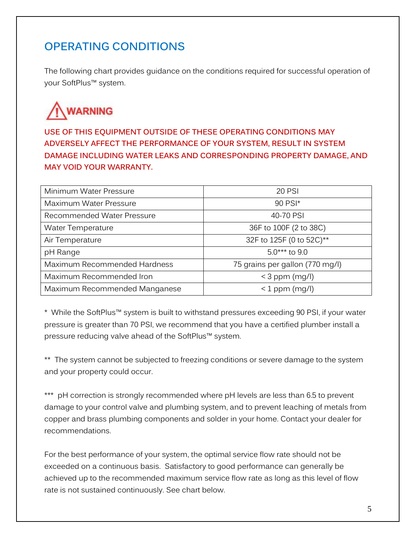## **OPERATING CONDITIONS**

The following chart provides guidance on the conditions required for successful operation of your SoftPlus™ system.

# **WARNING**

**USE OF THIS EQUIPMENT OUTSIDE OF THESE OPERATING CONDITIONS MAY ADVERSELY AFFECT THE PERFORMANCE OF YOUR SYSTEM, RESULT IN SYSTEM DAMAGE INCLUDING WATER LEAKS AND CORRESPONDING PROPERTY DAMAGE, AND MAY VOID YOUR WARRANTY.**

| Minimum Water Pressure        | <b>20 PSI</b>                   |
|-------------------------------|---------------------------------|
| Maximum Water Pressure        | 90 PSI*                         |
| Recommended Water Pressure    | 40-70 PSI                       |
| <b>Water Temperature</b>      | 36F to 100F (2 to 38C)          |
| Air Temperature               | 32F to 125F (0 to 52C)**        |
| pH Range                      | $5.0***$ to 9.0                 |
| Maximum Recommended Hardness  | 75 grains per gallon (770 mg/l) |
| Maximum Recommended Iron      | $<$ 3 ppm (mg/l)                |
| Maximum Recommended Manganese | $<$ 1 ppm (mg/l)                |

\* While the SoftPlus™ system is built to withstand pressures exceeding 90 PSI, if your water pressure is greater than 70 PSI, we recommend that you have a certified plumber install a pressure reducing valve ahead of the SoftPlus™ system.

\*\* The system cannot be subjected to freezing conditions or severe damage to the system and your property could occur.

\*\*\* pH correction is strongly recommended where pH levels are less than 6.5 to prevent damage to your control valve and plumbing system, and to prevent leaching of metals from copper and brass plumbing components and solder in your home. Contact your dealer for recommendations.

For the best performance of your system, the optimal service flow rate should not be exceeded on a continuous basis. Satisfactory to good performance can generally be achieved up to the recommended maximum service flow rate as long as this level of flow rate is not sustained continuously. See chart below.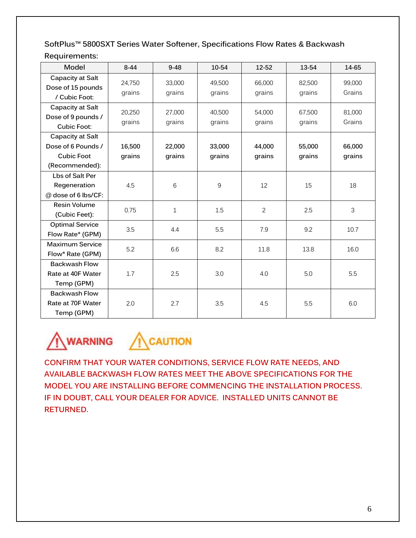**SoftPlus™ 5800SXT Series Water Softener, Specifications Flow Rates & Backwash Requirements:**

| Model                                                                         | $8 - 44$         | $9 - 48$         | 10-54            | 12-52            | 13-54            | 14-65            |
|-------------------------------------------------------------------------------|------------------|------------------|------------------|------------------|------------------|------------------|
| Capacity at Salt<br>Dose of 15 pounds<br>/ Cubic Foot:                        | 24,750<br>grains | 33,000<br>grains | 49,500<br>grains | 66,000<br>grains | 82,500<br>grains | 99,000<br>Grains |
| Capacity at Salt<br>Dose of 9 pounds /<br><b>Cubic Foot:</b>                  | 20,250<br>grains | 27,000<br>grains | 40,500<br>grains | 54,000<br>grains | 67,500<br>grains | 81,000<br>Grains |
| Capacity at Salt<br>Dose of 6 Pounds /<br><b>Cubic Foot</b><br>(Recommended): | 16,500<br>grains | 22,000<br>grains | 33,000<br>grains | 44,000<br>grains | 55,000<br>grains | 66,000<br>grains |
| Lbs of Salt Per<br>Regeneration<br>@ dose of 6 lbs/CF:                        | 4.5              | 6                | 9                | 12               | 15               | 18               |
| Resin Volume<br>(Cubic Feet):                                                 | 0.75             | $\mathbf{1}$     | 1.5              | $\overline{2}$   | 2.5              | 3                |
| <b>Optimal Service</b><br>Flow Rate* (GPM)                                    | 3.5              | 4.4              | 5.5              | 7.9              | 9.2              | 10.7             |
| <b>Maximum Service</b><br>Flow* Rate (GPM)                                    | 5.2              | 6.6              | 8.2              | 11.8             | 13.8             | 16.0             |
| <b>Backwash Flow</b><br>Rate at 40F Water<br>Temp (GPM)                       | 1.7              | 2.5              | 3.0              | 4.0              | 5.0              | 5.5              |
| <b>Backwash Flow</b><br>Rate at 70F Water<br>Temp (GPM)                       | 2.0              | 2.7              | 3.5              | 4.5              | 5.5              | 6.0              |



**CONFIRM THAT YOUR WATER CONDITIONS, SERVICE FLOW RATE NEEDS, AND AVAILABLE BACKWASH FLOW RATES MEET THE ABOVE SPECIFICATIONS FOR THE MODEL YOU ARE INSTALLING BEFORE COMMENCING THE INSTALLATION PROCESS. IF IN DOUBT, CALL YOUR DEALER FOR ADVICE. INSTALLED UNITS CANNOT BE RETURNED.**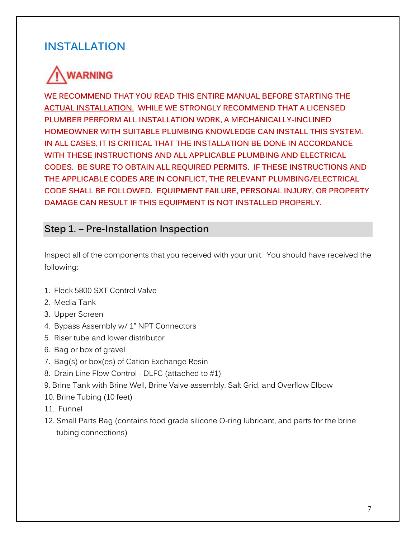## **INSTALLATION**

# **WARNING**

**WE RECOMMEND THAT YOU READ THIS ENTIRE MANUAL BEFORE STARTING THE ACTUAL INSTALLATION. WHILE WE STRONGLY RECOMMEND THAT A LICENSED PLUMBER PERFORM ALL INSTALLATION WORK, A MECHANICALLY-INCLINED HOMEOWNER WITH SUITABLE PLUMBING KNOWLEDGE CAN INSTALL THIS SYSTEM. IN ALL CASES, IT IS CRITICAL THAT THE INSTALLATION BE DONE IN ACCORDANCE WITH THESE INSTRUCTIONS AND ALL APPLICABLE PLUMBING AND ELECTRICAL CODES. BE SURE TO OBTAIN ALL REQUIRED PERMITS. IF THESE INSTRUCTIONS AND THE APPLICABLE CODES ARE IN CONFLICT, THE RELEVANT PLUMBING/ELECTRICAL CODE SHALL BE FOLLOWED. EQUIPMENT FAILURE, PERSONAL INJURY, OR PROPERTY DAMAGE CAN RESULT IF THIS EQUIPMENT IS NOT INSTALLED PROPERLY.** 

### **Step 1. – Pre-Installation Inspection**

Inspect all of the components that you received with your unit. You should have received the following:

- 1. Fleck 5800 SXT Control Valve
- 2. Media Tank
- 3. Upper Screen
- 4. Bypass Assembly w/ 1" NPT Connectors
- 5. Riser tube and lower distributor
- 6. Bag or box of gravel
- 7. Bag(s) or box(es) of Cation Exchange Resin
- 8. Drain Line Flow Control DLFC (attached to #1)
- 9. Brine Tank with Brine Well, Brine Valve assembly, Salt Grid, and Overflow Elbow
- 10. Brine Tubing (10 feet)
- 11. Funnel
- 12. Small Parts Bag (contains food grade silicone O-ring lubricant, and parts for the brine tubing connections)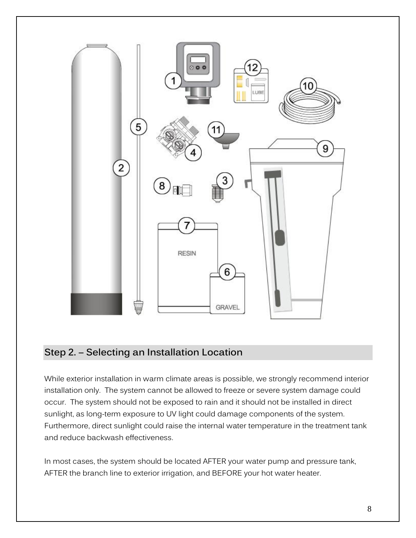

### **Step 2. – Selecting an Installation Location**

While exterior installation in warm climate areas is possible, we strongly recommend interior installation only. The system cannot be allowed to freeze or severe system damage could occur. The system should not be exposed to rain and it should not be installed in direct sunlight, as long-term exposure to UV light could damage components of the system. Furthermore, direct sunlight could raise the internal water temperature in the treatment tank and reduce backwash effectiveness.

In most cases, the system should be located AFTER your water pump and pressure tank, AFTER the branch line to exterior irrigation, and BEFORE your hot water heater.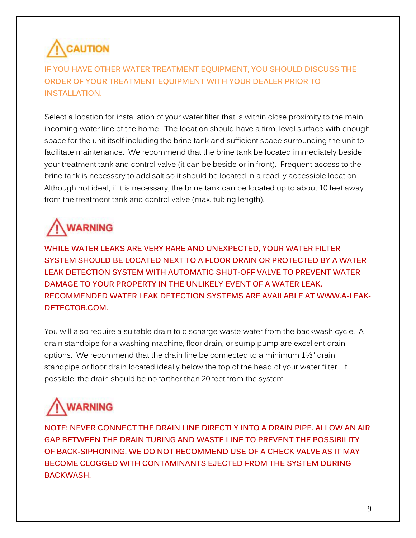# **CAUTION**

**IF YOU HAVE OTHER WATER TREATMENT EQUIPMENT, YOU SHOULD DISCUSS THE ORDER OF YOUR TREATMENT EQUIPMENT WITH YOUR DEALER PRIOR TO INSTALLATION.**

Select a location for installation of your water filter that is within close proximity to the main incoming water line of the home. The location should have a firm, level surface with enough space for the unit itself including the brine tank and sufficient space surrounding the unit to facilitate maintenance. We recommend that the brine tank be located immediately beside your treatment tank and control valve (it can be beside or in front). Frequent access to the brine tank is necessary to add salt so it should be located in a readily accessible location. Although not ideal, if it is necessary, the brine tank can be located up to about 10 feet away from the treatment tank and control valve (max. tubing length).

# **WARNING**

**WHILE WATER LEAKS ARE VERY RARE AND UNEXPECTED, YOUR WATER FILTER SYSTEM SHOULD BE LOCATED NEXT TO A FLOOR DRAIN OR PROTECTED BY A WATER LEAK DETECTION SYSTEM WITH AUTOMATIC SHUT-OFF VALVE TO PREVENT WATER DAMAGE TO YOUR PROPERTY IN THE UNLIKELY EVENT OF A WATER LEAK. RECOMMENDED WATER LEAK DETECTION SYSTEMS ARE AVAILABLE AT WWW.A-LEAK-DETECTOR.COM.**

You will also require a suitable drain to discharge waste water from the backwash cycle. A drain standpipe for a washing machine, floor drain, or sump pump are excellent drain options. We recommend that the drain line be connected to a minimum 1½" drain standpipe or floor drain located ideally below the top of the head of your water filter. If possible, the drain should be no farther than 20 feet from the system.

# **WARNING**

**NOTE: NEVER CONNECT THE DRAIN LINE DIRECTLY INTO A DRAIN PIPE. ALLOW AN AIR GAP BETWEEN THE DRAIN TUBING AND WASTE LINE TO PREVENT THE POSSIBILITY OF BACK-SIPHONING. WE DO NOT RECOMMEND USE OF A CHECK VALVE AS IT MAY BECOME CLOGGED WITH CONTAMINANTS EJECTED FROM THE SYSTEM DURING BACKWASH.**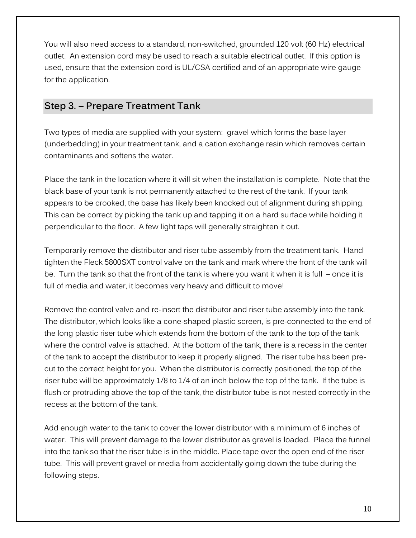You will also need access to a standard, non-switched, grounded 120 volt (60 Hz) electrical outlet. An extension cord may be used to reach a suitable electrical outlet. If this option is used, ensure that the extension cord is UL/CSA certified and of an appropriate wire gauge for the application.

### **Step 3. – Prepare Treatment Tank**

Two types of media are supplied with your system: gravel which forms the base layer (underbedding) in your treatment tank, and a cation exchange resin which removes certain contaminants and softens the water.

Place the tank in the location where it will sit when the installation is complete. Note that the black base of your tank is not permanently attached to the rest of the tank. If your tank appears to be crooked, the base has likely been knocked out of alignment during shipping. This can be correct by picking the tank up and tapping it on a hard surface while holding it perpendicular to the floor. A few light taps will generally straighten it out.

Temporarily remove the distributor and riser tube assembly from the treatment tank. Hand tighten the Fleck 5800SXT control valve on the tank and mark where the front of the tank will be. Turn the tank so that the front of the tank is where you want it when it is full – once it is full of media and water, it becomes very heavy and difficult to move!

Remove the control valve and re-insert the distributor and riser tube assembly into the tank. The distributor, which looks like a cone-shaped plastic screen, is pre-connected to the end of the long plastic riser tube which extends from the bottom of the tank to the top of the tank where the control valve is attached. At the bottom of the tank, there is a recess in the center of the tank to accept the distributor to keep it properly aligned. The riser tube has been precut to the correct height for you. When the distributor is correctly positioned, the top of the riser tube will be approximately 1/8 to 1/4 of an inch below the top of the tank. If the tube is flush or protruding above the top of the tank, the distributor tube is not nested correctly in the recess at the bottom of the tank.

Add enough water to the tank to cover the lower distributor with a minimum of 6 inches of water. This will prevent damage to the lower distributor as gravel is loaded. Place the funnel into the tank so that the riser tube is in the middle. Place tape over the open end of the riser tube. This will prevent gravel or media from accidentally going down the tube during the following steps.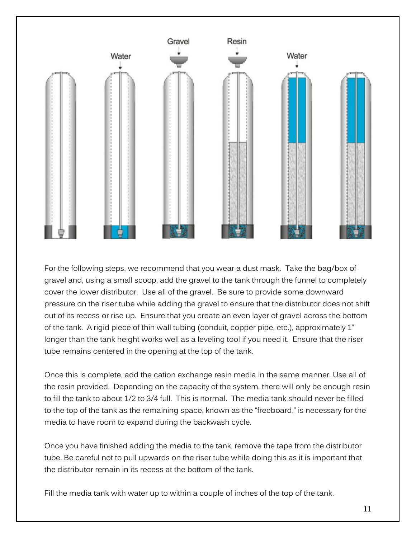

For the following steps, we recommend that you wear a dust mask. Take the bag/box of gravel and, using a small scoop, add the gravel to the tank through the funnel to completely cover the lower distributor. Use all of the gravel. Be sure to provide some downward pressure on the riser tube while adding the gravel to ensure that the distributor does not shift out of its recess or rise up. Ensure that you create an even layer of gravel across the bottom of the tank. A rigid piece of thin wall tubing (conduit, copper pipe, etc.), approximately 1" longer than the tank height works well as a leveling tool if you need it. Ensure that the riser tube remains centered in the opening at the top of the tank.

Once this is complete, add the cation exchange resin media in the same manner. Use all of the resin provided. Depending on the capacity of the system, there will only be enough resin to fill the tank to about 1/2 to 3/4 full. This is normal. The media tank should never be filled to the top of the tank as the remaining space, known as the "freeboard," is necessary for the media to have room to expand during the backwash cycle.

Once you have finished adding the media to the tank, remove the tape from the distributor tube. Be careful not to pull upwards on the riser tube while doing this as it is important that the distributor remain in its recess at the bottom of the tank.

Fill the media tank with water up to within a couple of inches of the top of the tank.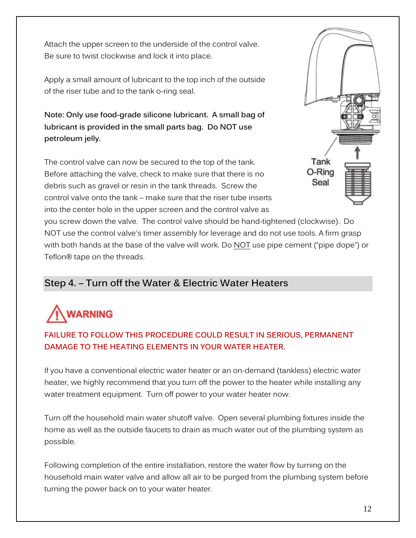Attach the upper screen to the underside of the control valve. Be sure to twist clockwise and lock it into place.

Apply a small amount of lubricant to the top inch of the outside of the riser tube and to the tank o-ring seal.

**Note: Only use food-grade silicone lubricant. A small bag of lubricant is provided in the small parts bag. Do NOT use petroleum jelly.**

The control valve can now be secured to the top of the tank. Before attaching the valve, check to make sure that there is no debris such as gravel or resin in the tank threads. Screw the control valve onto the tank – make sure that the riser tube inserts into the center hole in the upper screen and the control valve as



you screw down the valve. The control valve should be hand-tightened (clockwise). Do NOT use the control valve's timer assembly for leverage and do not use tools. A firm grasp with both hands at the base of the valve will work. Do NOT use pipe cement ("pipe dope") or Teflon**®** tape on the threads.

## **Step 4. – Turn off the Water & Electric Water Heaters**

# **WARNING**

### **FAILURE TO FOLLOW THIS PROCEDURE COULD RESULT IN SERIOUS, PERMANENT DAMAGE TO THE HEATING ELEMENTS IN YOUR WATER HEATER.**

If you have a conventional electric water heater or an on-demand (tankless) electric water heater, we highly recommend that you turn off the power to the heater while installing any water treatment equipment. Turn off power to your water heater now.

Turn off the household main water shutoff valve. Open several plumbing fixtures inside the home as well as the outside faucets to drain as much water out of the plumbing system as possible.

Following completion of the entire installation, restore the water flow by turning on the household main water valve and allow all air to be purged from the plumbing system before turning the power back on to your water heater.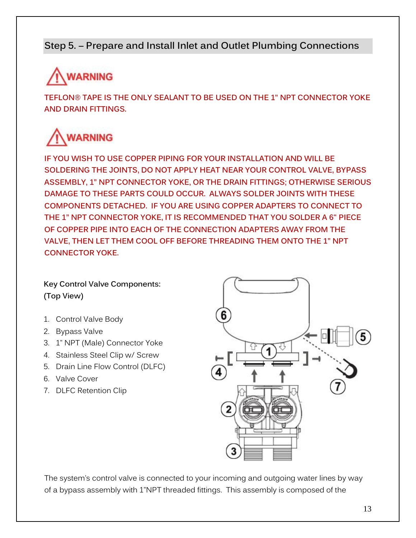## **Step 5. – Prepare and Install Inlet and Outlet Plumbing Connections**

# **WARNING**

**TEFLON® TAPE IS THE ONLY SEALANT TO BE USED ON THE 1" NPT CONNECTOR YOKE AND DRAIN FITTINGS.** 

# **WARNING**

**IF YOU WISH TO USE COPPER PIPING FOR YOUR INSTALLATION AND WILL BE SOLDERING THE JOINTS, DO NOT APPLY HEAT NEAR YOUR CONTROL VALVE, BYPASS ASSEMBLY, 1" NPT CONNECTOR YOKE, OR THE DRAIN FITTINGS; OTHERWISE SERIOUS DAMAGE TO THESE PARTS COULD OCCUR. ALWAYS SOLDER JOINTS WITH THESE COMPONENTS DETACHED. IF YOU ARE USING COPPER ADAPTERS TO CONNECT TO THE 1" NPT CONNECTOR YOKE, IT IS RECOMMENDED THAT YOU SOLDER A 6" PIECE OF COPPER PIPE INTO EACH OF THE CONNECTION ADAPTERS AWAY FROM THE VALVE, THEN LET THEM COOL OFF BEFORE THREADING THEM ONTO THE 1" NPT CONNECTOR YOKE.** 

### **Key Control Valve Components: (Top View)**

- 1. Control Valve Body
- 2. Bypass Valve
- 3. 1" NPT (Male) Connector Yoke
- 4. Stainless Steel Clip w/ Screw
- 5. Drain Line Flow Control (DLFC)
- 6. Valve Cover
- 7. DLFC Retention Clip



The system's control valve is connected to your incoming and outgoing water lines by way of a bypass assembly with 1"NPT threaded fittings. This assembly is composed of the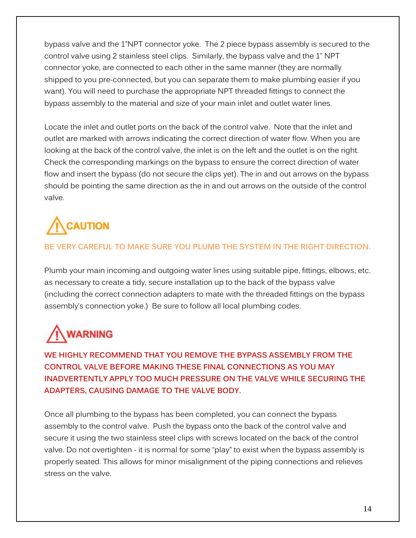bypass valve and the 1"NPT connector yoke. The 2 piece bypass assembly is secured to the control valve using 2 stainless steel clips. Similarly, the bypass valve and the 1" NPT connector yoke, are connected to each other in the same manner (they are normally shipped to you pre-connected, but you can separate them to make plumbing easier if you want). You will need to purchase the appropriate NPT threaded fittings to connect the bypass assembly to the material and size of your main inlet and outlet water lines.

Locate the inlet and outlet ports on the back of the control valve. Note that the inlet and outlet are marked with arrows indicating the correct direction of water flow. When you are looking at the back of the control valve, the inlet is on the left and the outlet is on the right. Check the corresponding markings on the bypass to ensure the correct direction of water flow and insert the bypass (do not secure the clips yet). The in and out arrows on the bypass should be pointing the same direction as the in and out arrows on the outside of the control valve.

# **AUTION**

### **BE VERY CAREFUL TO MAKE SURE YOU PLUMB THE SYSTEM IN THE RIGHT DIRECTION.**

Plumb your main incoming and outgoing water lines using suitable pipe, fittings, elbows, etc. as necessary to create a tidy, secure installation up to the back of the bypass valve (including the correct connection adapters to mate with the threaded fittings on the bypass assembly's connection yoke.) Be sure to follow all local plumbing codes.

# **WARNING**

**WE HIGHLY RECOMMEND THAT YOU REMOVE THE BYPASS ASSEMBLY FROM THE CONTROL VALVE BEFORE MAKING THESE FINAL CONNECTIONS AS YOU MAY INADVERTENTLY APPLY TOO MUCH PRESSURE ON THE VALVE WHILE SECURING THE ADAPTERS, CAUSING DAMAGE TO THE VALVE BODY.**

Once all plumbing to the bypass has been completed, you can connect the bypass assembly to the control valve. Push the bypass onto the back of the control valve and secure it using the two stainless steel clips with screws located on the back of the control valve. Do not overtighten - it is normal for some "play" to exist when the bypass assembly is properly seated. This allows for minor misalignment of the piping connections and relieves stress on the valve.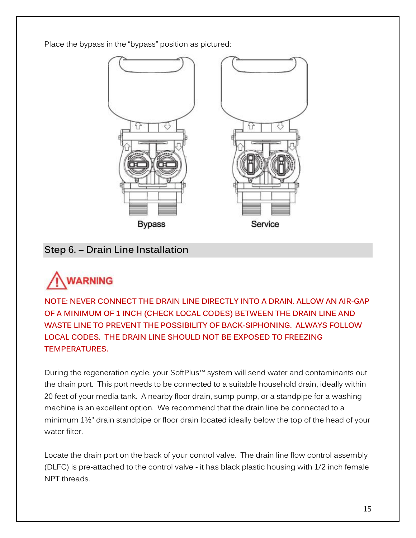Place the bypass in the "bypass" position as pictured:



## **Step 6. – Drain Line Installation**



**NOTE: NEVER CONNECT THE DRAIN LINE DIRECTLY INTO A DRAIN. ALLOW AN AIR-GAP OF A MINIMUM OF 1 INCH (CHECK LOCAL CODES) BETWEEN THE DRAIN LINE AND WASTE LINE TO PREVENT THE POSSIBILITY OF BACK-SIPHONING. ALWAYS FOLLOW LOCAL CODES. THE DRAIN LINE SHOULD NOT BE EXPOSED TO FREEZING TEMPERATURES.**

During the regeneration cycle, your SoftPlus™ system will send water and contaminants out the drain port. This port needs to be connected to a suitable household drain, ideally within 20 feet of your media tank. A nearby floor drain, sump pump, or a standpipe for a washing machine is an excellent option. We recommend that the drain line be connected to a minimum 1½" drain standpipe or floor drain located ideally below the top of the head of your water filter

Locate the drain port on the back of your control valve. The drain line flow control assembly (DLFC) is pre-attached to the control valve - it has black plastic housing with 1/2 inch female NPT threads.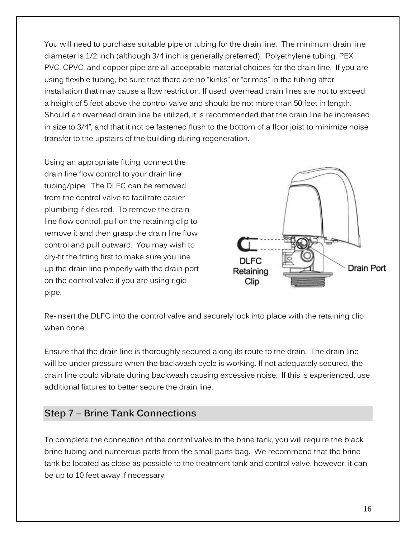You will need to purchase suitable pipe or tubing for the drain line. The minimum drain line diameter is 1/2 inch (although 3/4 inch is generally preferred). Polyethylene tubing, PEX, PVC, CPVC, and copper pipe are all acceptable material choices for the drain line. If you are using flexible tubing, be sure that there are no "kinks" or "crimps" in the tubing after installation that may cause a flow restriction. If used, overhead drain lines are not to exceed a height of 5 feet above the control valve and should be not more than 50 feet in length. Should an overhead drain line be utilized, it is recommended that the drain line be increased in size to 3/4", and that it not be fastened flush to the bottom of a floor joist to minimize noise transfer to the upstairs of the building during regeneration.

Using an appropriate fitting, connect the drain line flow control to your drain line tubing/pipe. The DLFC can be removed from the control valve to facilitate easier plumbing if desired. To remove the drain line flow control, pull on the retaining clip to remove it and then grasp the drain line flow control and pull outward. You may wish to dry-fit the fitting first to make sure you line up the drain line properly with the drain port on the control valve if you are using rigid pipe.



Re-insert the DLFC into the control valve and securely lock into place with the retaining clip when done.

Ensure that the drain line is thoroughly secured along its route to the drain. The drain line will be under pressure when the backwash cycle is working. If not adequately secured, the drain line could vibrate during backwash causing excessive noise. If this is experienced, use additional fixtures to better secure the drain line.

### **Step 7 – Brine Tank Connections**

To complete the connection of the control valve to the brine tank, you will require the black brine tubing and numerous parts from the small parts bag. We recommend that the brine tank be located as close as possible to the treatment tank and control valve, however, it can be up to 10 feet away if necessary.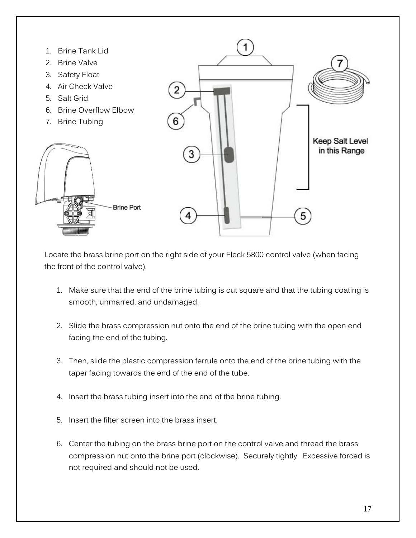

Locate the brass brine port on the right side of your Fleck 5800 control valve (when facing the front of the control valve).

- 1. Make sure that the end of the brine tubing is cut square and that the tubing coating is smooth, unmarred, and undamaged.
- 2. Slide the brass compression nut onto the end of the brine tubing with the open end facing the end of the tubing.
- 3. Then, slide the plastic compression ferrule onto the end of the brine tubing with the taper facing towards the end of the end of the tube.
- 4. Insert the brass tubing insert into the end of the brine tubing.
- 5. Insert the filter screen into the brass insert.
- 6. Center the tubing on the brass brine port on the control valve and thread the brass compression nut onto the brine port (clockwise). Securely tightly. Excessive forced is not required and should not be used.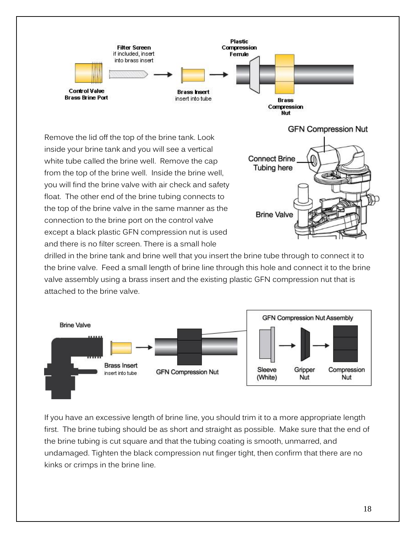

drilled in the brine tank and brine well that you insert the brine tube through to connect it to the brine valve. Feed a small length of brine line through this hole and connect it to the brine valve assembly using a brass insert and the existing plastic GFN compression nut that is attached to the brine valve.



If you have an excessive length of brine line, you should trim it to a more appropriate length first. The brine tubing should be as short and straight as possible. Make sure that the end of the brine tubing is cut square and that the tubing coating is smooth, unmarred, and undamaged. Tighten the black compression nut finger tight, then confirm that there are no kinks or crimps in the brine line.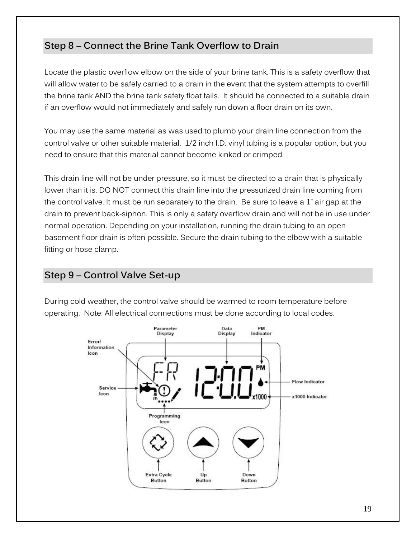## **Step 8 – Connect the Brine Tank Overflow to Drain**

Locate the plastic overflow elbow on the side of your brine tank. This is a safety overflow that will allow water to be safely carried to a drain in the event that the system attempts to overfill the brine tank AND the brine tank safety float fails. It should be connected to a suitable drain if an overflow would not immediately and safely run down a floor drain on its own.

You may use the same material as was used to plumb your drain line connection from the control valve or other suitable material. 1/2 inch I.D. vinyl tubing is a popular option, but you need to ensure that this material cannot become kinked or crimped.

This drain line will not be under pressure, so it must be directed to a drain that is physically lower than it is. DO NOT connect this drain line into the pressurized drain line coming from the control valve. It must be run separately to the drain. Be sure to leave a 1" air gap at the drain to prevent back-siphon. This is only a safety overflow drain and will not be in use under normal operation. Depending on your installation, running the drain tubing to an open basement floor drain is often possible. Secure the drain tubing to the elbow with a suitable fitting or hose clamp.

## **Step 9 – Control Valve Set-up**

During cold weather, the control valve should be warmed to room temperature before operating. Note: All electrical connections must be done according to local codes.

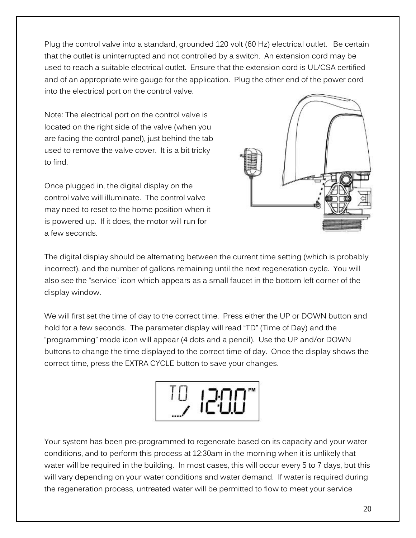Plug the control valve into a standard, grounded 120 volt (60 Hz) electrical outlet. Be certain that the outlet is uninterrupted and not controlled by a switch. An extension cord may be used to reach a suitable electrical outlet. Ensure that the extension cord is UL/CSA certified and of an appropriate wire gauge for the application. Plug the other end of the power cord into the electrical port on the control valve.

Note: The electrical port on the control valve is located on the right side of the valve (when you are facing the control panel), just behind the tab used to remove the valve cover. It is a bit tricky to find.

Once plugged in, the digital display on the control valve will illuminate. The control valve may need to reset to the home position when it is powered up. If it does, the motor will run for a few seconds.



The digital display should be alternating between the current time setting (which is probably incorrect), and the number of gallons remaining until the next regeneration cycle. You will also see the "service" icon which appears as a small faucet in the bottom left corner of the display window.

We will first set the time of day to the correct time. Press either the UP or DOWN button and hold for a few seconds. The parameter display will read "TD" (Time of Day) and the "programming" mode icon will appear (4 dots and a pencil). Use the UP and/or DOWN buttons to change the time displayed to the correct time of day. Once the display shows the correct time, press the EXTRA CYCLE button to save your changes.



Your system has been pre-programmed to regenerate based on its capacity and your water conditions, and to perform this process at 12:30am in the morning when it is unlikely that water will be required in the building. In most cases, this will occur every 5 to 7 days, but this will vary depending on your water conditions and water demand. If water is required during the regeneration process, untreated water will be permitted to flow to meet your service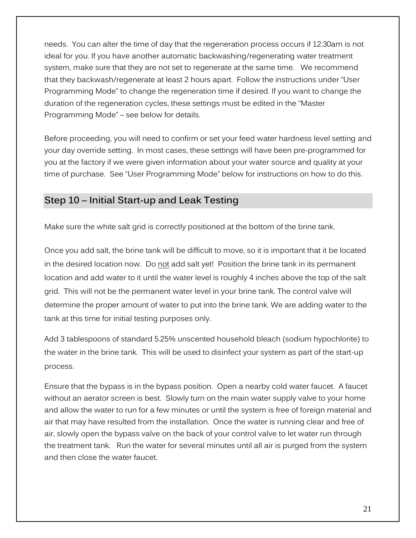needs. You can alter the time of day that the regeneration process occurs if 12:30am is not ideal for you. If you have another automatic backwashing/regenerating water treatment system, make sure that they are not set to regenerate at the same time. We recommend that they backwash/regenerate at least 2 hours apart. Follow the instructions under "User Programming Mode" to change the regeneration time if desired. If you want to change the duration of the regeneration cycles, these settings must be edited in the "Master Programming Mode" – see below for details.

Before proceeding, you will need to confirm or set your feed water hardness level setting and your day override setting. In most cases, these settings will have been pre-programmed for you at the factory if we were given information about your water source and quality at your time of purchase. See "User Programming Mode" below for instructions on how to do this.

### **Step 10 – Initial Start-up and Leak Testing**

Make sure the white salt grid is correctly positioned at the bottom of the brine tank.

Once you add salt, the brine tank will be difficult to move, so it is important that it be located in the desired location now. Do not add salt yet! Position the brine tank in its permanent location and add water to it until the water level is roughly 4 inches above the top of the salt grid. This will not be the permanent water level in your brine tank. The control valve will determine the proper amount of water to put into the brine tank. We are adding water to the tank at this time for initial testing purposes only.

Add 3 tablespoons of standard 5.25% unscented household bleach (sodium hypochlorite) to the water in the brine tank. This will be used to disinfect your system as part of the start-up process.

Ensure that the bypass is in the bypass position. Open a nearby cold water faucet. A faucet without an aerator screen is best. Slowly turn on the main water supply valve to your home and allow the water to run for a few minutes or until the system is free of foreign material and air that may have resulted from the installation. Once the water is running clear and free of air, slowly open the bypass valve on the back of your control valve to let water run through the treatment tank. Run the water for several minutes until all air is purged from the system and then close the water faucet.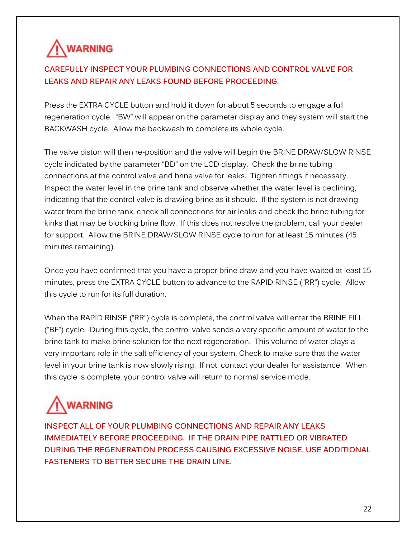

### **CAREFULLY INSPECT YOUR PLUMBING CONNECTIONS AND CONTROL VALVE FOR LEAKS AND REPAIR ANY LEAKS FOUND BEFORE PROCEEDING.**

Press the EXTRA CYCLE button and hold it down for about 5 seconds to engage a full regeneration cycle. "BW" will appear on the parameter display and they system will start the BACKWASH cycle. Allow the backwash to complete its whole cycle.

The valve piston will then re-position and the valve will begin the BRINE DRAW/SLOW RINSE cycle indicated by the parameter "BD" on the LCD display. Check the brine tubing connections at the control valve and brine valve for leaks. Tighten fittings if necessary. Inspect the water level in the brine tank and observe whether the water level is declining, indicating that the control valve is drawing brine as it should. If the system is not drawing water from the brine tank, check all connections for air leaks and check the brine tubing for kinks that may be blocking brine flow. If this does not resolve the problem, call your dealer for support. Allow the BRINE DRAW/SLOW RINSE cycle to run for at least 15 minutes (45 minutes remaining).

Once you have confirmed that you have a proper brine draw and you have waited at least 15 minutes, press the EXTRA CYCLE button to advance to the RAPID RINSE ("RR") cycle. Allow this cycle to run for its full duration.

When the RAPID RINSE ("RR") cycle is complete, the control valve will enter the BRINE FILL ("BF") cycle. During this cycle, the control valve sends a very specific amount of water to the brine tank to make brine solution for the next regeneration. This volume of water plays a very important role in the salt efficiency of your system. Check to make sure that the water level in your brine tank is now slowly rising. If not, contact your dealer for assistance. When this cycle is complete, your control valve will return to normal service mode.

# **WARNING**

**INSPECT ALL OF YOUR PLUMBING CONNECTIONS AND REPAIR ANY LEAKS IMMEDIATELY BEFORE PROCEEDING. IF THE DRAIN PIPE RATTLED OR VIBRATED DURING THE REGENERATION PROCESS CAUSING EXCESSIVE NOISE, USE ADDITIONAL FASTENERS TO BETTER SECURE THE DRAIN LINE.**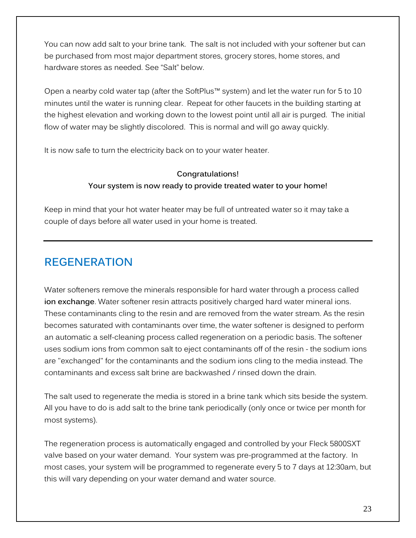You can now add salt to your brine tank. The salt is not included with your softener but can be purchased from most major department stores, grocery stores, home stores, and hardware stores as needed. See "Salt" below.

Open a nearby cold water tap (after the SoftPlus™ system) and let the water run for 5 to 10 minutes until the water is running clear. Repeat for other faucets in the building starting at the highest elevation and working down to the lowest point until all air is purged. The initial flow of water may be slightly discolored. This is normal and will go away quickly.

It is now safe to turn the electricity back on to your water heater.

### **Congratulations! Your system is now ready to provide treated water to your home!**

Keep in mind that your hot water heater may be full of untreated water so it may take a couple of days before all water used in your home is treated.

## **REGENERATION**

Water softeners remove the minerals responsible for hard water through a process called **ion exchange**. Water softener resin attracts positively charged hard water mineral ions. These contaminants cling to the resin and are removed from the water stream. As the resin becomes saturated with contaminants over time, the water softener is designed to perform an automatic a self-cleaning process called regeneration on a periodic basis. The softener uses sodium ions from common salt to eject contaminants off of the resin - the sodium ions are "exchanged" for the contaminants and the sodium ions cling to the media instead. The contaminants and excess salt brine are backwashed / rinsed down the drain.

The salt used to regenerate the media is stored in a brine tank which sits beside the system. All you have to do is add salt to the brine tank periodically (only once or twice per month for most systems).

The regeneration process is automatically engaged and controlled by your Fleck 5800SXT valve based on your water demand. Your system was pre-programmed at the factory. In most cases, your system will be programmed to regenerate every 5 to 7 days at 12:30am, but this will vary depending on your water demand and water source.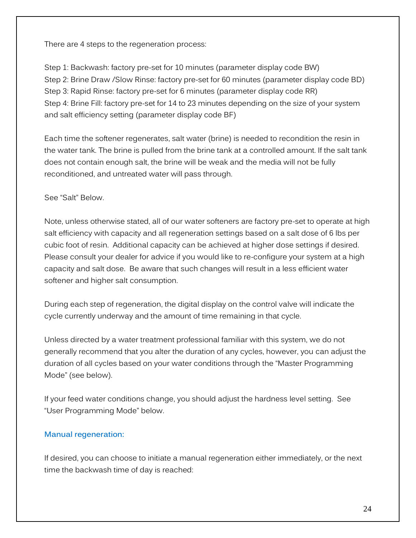There are 4 steps to the regeneration process:

Step 1: Backwash: factory pre-set for 10 minutes (parameter display code BW) Step 2: Brine Draw /Slow Rinse: factory pre-set for 60 minutes (parameter display code BD) Step 3: Rapid Rinse: factory pre-set for 6 minutes (parameter display code RR) Step 4: Brine Fill: factory pre-set for 14 to 23 minutes depending on the size of your system and salt efficiency setting (parameter display code BF)

Each time the softener regenerates, salt water (brine) is needed to recondition the resin in the water tank. The brine is pulled from the brine tank at a controlled amount. If the salt tank does not contain enough salt, the brine will be weak and the media will not be fully reconditioned, and untreated water will pass through.

#### See "Salt" Below.

Note, unless otherwise stated, all of our water softeners are factory pre-set to operate at high salt efficiency with capacity and all regeneration settings based on a salt dose of 6 lbs per cubic foot of resin. Additional capacity can be achieved at higher dose settings if desired. Please consult your dealer for advice if you would like to re-configure your system at a high capacity and salt dose. Be aware that such changes will result in a less efficient water softener and higher salt consumption.

During each step of regeneration, the digital display on the control valve will indicate the cycle currently underway and the amount of time remaining in that cycle.

Unless directed by a water treatment professional familiar with this system, we do not generally recommend that you alter the duration of any cycles, however, you can adjust the duration of all cycles based on your water conditions through the "Master Programming Mode" (see below).

If your feed water conditions change, you should adjust the hardness level setting. See "User Programming Mode" below.

#### **Manual regeneration:**

If desired, you can choose to initiate a manual regeneration either immediately, or the next time the backwash time of day is reached: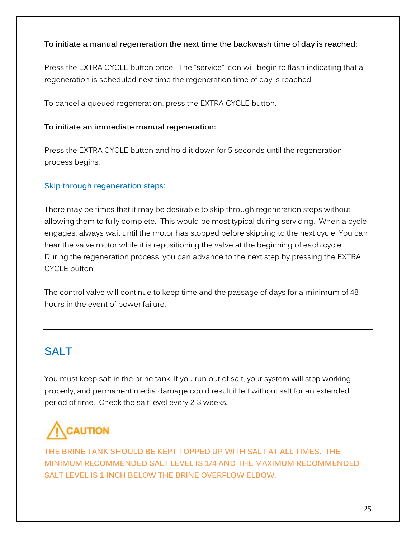#### **To initiate a manual regeneration the next time the backwash time of day is reached:**

Press the EXTRA CYCLE button once. The "service" icon will begin to flash indicating that a regeneration is scheduled next time the regeneration time of day is reached.

To cancel a queued regeneration, press the EXTRA CYCLE button.

#### **To initiate an immediate manual regeneration:**

Press the EXTRA CYCLE button and hold it down for 5 seconds until the regeneration process begins.

#### **Skip through regeneration steps:**

There may be times that it may be desirable to skip through regeneration steps without allowing them to fully complete. This would be most typical during servicing. When a cycle engages, always wait until the motor has stopped before skipping to the next cycle. You can hear the valve motor while it is repositioning the valve at the beginning of each cycle. During the regeneration process, you can advance to the next step by pressing the EXTRA CYCLE button.

The control valve will continue to keep time and the passage of days for a minimum of 48 hours in the event of power failure.

## **SALT**

You must keep salt in the brine tank. If you run out of salt, your system will stop working properly, and permanent media damage could result if left without salt for an extended period of time. Check the salt level every 2-3 weeks.

# **CAUTION**

**THE BRINE TANK SHOULD BE KEPT TOPPED UP WITH SALT AT ALL TIMES. THE MINIMUM RECOMMENDED SALT LEVEL IS 1/4 AND THE MAXIMUM RECOMMENDED SALT LEVEL IS 1 INCH BELOW THE BRINE OVERFLOW ELBOW.**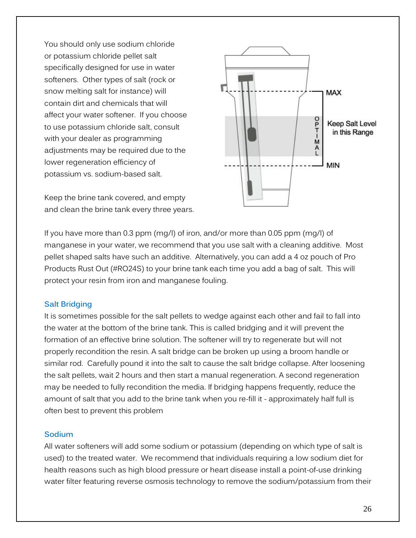You should only use sodium chloride or potassium chloride pellet salt specifically designed for use in water softeners. Other types of salt (rock or snow melting salt for instance) will contain dirt and chemicals that will affect your water softener. If you choose to use potassium chloride salt, consult with your dealer as programming adjustments may be required due to the lower regeneration efficiency of potassium vs. sodium-based salt.

Keep the brine tank covered, and empty and clean the brine tank every three years.



If you have more than 0.3 ppm (mg/l) of iron, and/or more than 0.05 ppm (mg/l) of manganese in your water, we recommend that you use salt with a cleaning additive. Most pellet shaped salts have such an additive. Alternatively, you can add a 4 oz pouch of Pro Products Rust Out (#RO24S) to your brine tank each time you add a bag of salt. This will protect your resin from iron and manganese fouling.

#### **Salt Bridging**

It is sometimes possible for the salt pellets to wedge against each other and fail to fall into the water at the bottom of the brine tank. This is called bridging and it will prevent the formation of an effective brine solution. The softener will try to regenerate but will not properly recondition the resin. A salt bridge can be broken up using a broom handle or similar rod. Carefully pound it into the salt to cause the salt bridge collapse. After loosening the salt pellets, wait 2 hours and then start a manual regeneration. A second regeneration may be needed to fully recondition the media. If bridging happens frequently, reduce the amount of salt that you add to the brine tank when you re-fill it - approximately half full is often best to prevent this problem

#### **Sodium**

All water softeners will add some sodium or potassium (depending on which type of salt is used) to the treated water. We recommend that individuals requiring a low sodium diet for health reasons such as high blood pressure or heart disease install a point-of-use drinking water filter featuring reverse osmosis technology to remove the sodium/potassium from their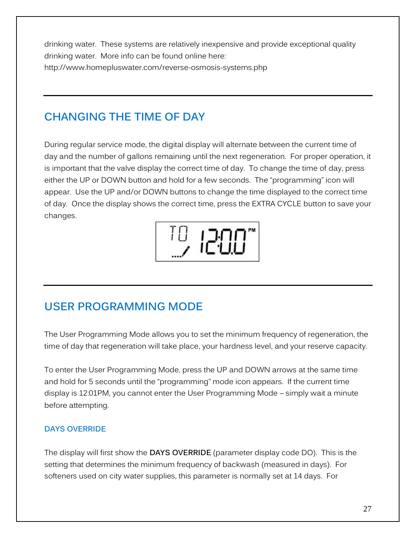drinking water. These systems are relatively inexpensive and provide exceptional quality drinking water. More info can be found online here: http://www.homepluswater.com/reverse-osmosis-systems.php

# **CHANGING THE TIME OF DAY**

During regular service mode, the digital display will alternate between the current time of day and the number of gallons remaining until the next regeneration. For proper operation, it is important that the valve display the correct time of day. To change the time of day, press either the UP or DOWN button and hold for a few seconds. The "programming" icon will appear. Use the UP and/or DOWN buttons to change the time displayed to the correct time of day. Once the display shows the correct time, press the EXTRA CYCLE button to save your changes.



## **USER PROGRAMMING MODE**

The User Programming Mode allows you to set the minimum frequency of regeneration, the time of day that regeneration will take place, your hardness level, and your reserve capacity.

To enter the User Programming Mode, press the UP and DOWN arrows at the same time and hold for 5 seconds until the "programming" mode icon appears. If the current time display is 12:01PM, you cannot enter the User Programming Mode – simply wait a minute before attempting.

#### **DAYS OVERRIDE**

The display will first show the **DAYS OVERRIDE** (parameter display code DO). This is the setting that determines the minimum frequency of backwash (measured in days). For softeners used on city water supplies, this parameter is normally set at 14 days. For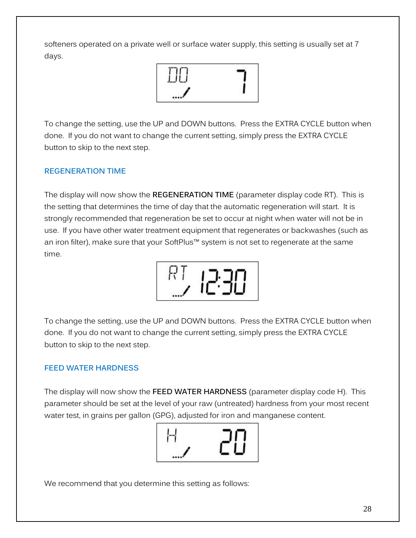softeners operated on a private well or surface water supply, this setting is usually set at 7 days.



To change the setting, use the UP and DOWN buttons. Press the EXTRA CYCLE button when done. If you do not want to change the current setting, simply press the EXTRA CYCLE button to skip to the next step.

#### **REGENERATION TIME**

The display will now show the **REGENERATION TIME** (parameter display code RT). This is the setting that determines the time of day that the automatic regeneration will start. It is strongly recommended that regeneration be set to occur at night when water will not be in use. If you have other water treatment equipment that regenerates or backwashes (such as an iron filter), make sure that your SoftPlus™ system is not set to regenerate at the same time.



To change the setting, use the UP and DOWN buttons. Press the EXTRA CYCLE button when done. If you do not want to change the current setting, simply press the EXTRA CYCLE button to skip to the next step.

#### **FEED WATER HARDNESS**

The display will now show the **FEED WATER HARDNESS** (parameter display code H). This parameter should be set at the level of your raw (untreated) hardness from your most recent water test, in grains per gallon (GPG), adjusted for iron and manganese content.



We recommend that you determine this setting as follows: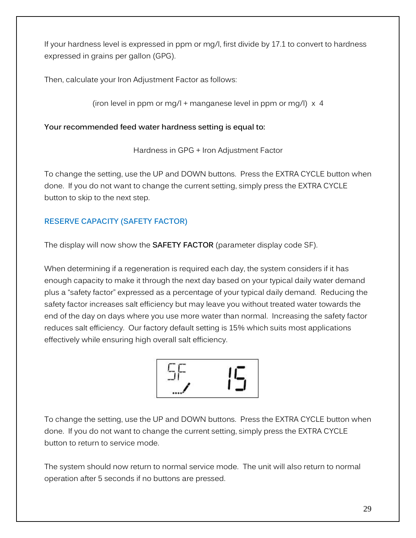If your hardness level is expressed in ppm or mg/l, first divide by 17.1 to convert to hardness expressed in grains per gallon (GPG).

Then, calculate your Iron Adjustment Factor as follows:

(iron level in ppm or mg/l + manganese level in ppm or mg/l) x 4

#### **Your recommended feed water hardness setting is equal to:**

Hardness in GPG + Iron Adjustment Factor

To change the setting, use the UP and DOWN buttons. Press the EXTRA CYCLE button when done. If you do not want to change the current setting, simply press the EXTRA CYCLE button to skip to the next step.

### **RESERVE CAPACITY (SAFETY FACTOR)**

The display will now show the **SAFETY FACTOR** (parameter display code SF).

When determining if a regeneration is required each day, the system considers if it has enough capacity to make it through the next day based on your typical daily water demand plus a "safety factor" expressed as a percentage of your typical daily demand. Reducing the safety factor increases salt efficiency but may leave you without treated water towards the end of the day on days where you use more water than normal. Increasing the safety factor reduces salt efficiency. Our factory default setting is 15% which suits most applications effectively while ensuring high overall salt efficiency.



To change the setting, use the UP and DOWN buttons. Press the EXTRA CYCLE button when done. If you do not want to change the current setting, simply press the EXTRA CYCLE button to return to service mode.

The system should now return to normal service mode. The unit will also return to normal operation after 5 seconds if no buttons are pressed.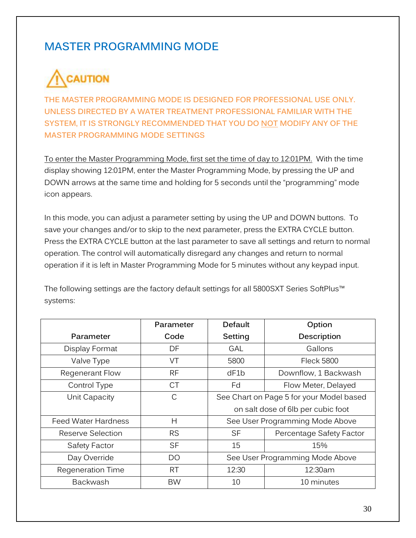## **MASTER PROGRAMMING MODE**

# **CAUTION**

**THE MASTER PROGRAMMING MODE IS DESIGNED FOR PROFESSIONAL USE ONLY. UNLESS DIRECTED BY A WATER TREATMENT PROFESSIONAL FAMILIAR WITH THE SYSTEM, IT IS STRONGLY RECOMMENDED THAT YOU DO NOT MODIFY ANY OF THE MASTER PROGRAMMING MODE SETTINGS** 

To enter the Master Programming Mode, first set the time of day to 12:01PM. With the time display showing 12:01PM, enter the Master Programming Mode, by pressing the UP and DOWN arrows at the same time and holding for 5 seconds until the "programming" mode icon appears.

In this mode, you can adjust a parameter setting by using the UP and DOWN buttons. To save your changes and/or to skip to the next parameter, press the EXTRA CYCLE button. Press the EXTRA CYCLE button at the last parameter to save all settings and return to normal operation. The control will automatically disregard any changes and return to normal operation if it is left in Master Programming Mode for 5 minutes without any keypad input.

The following settings are the factory default settings for all 5800SXT Series SoftPlus™ systems:

|                            | Parameter | <b>Default</b>                           | Option               |  |
|----------------------------|-----------|------------------------------------------|----------------------|--|
| Parameter                  | Code      | Setting                                  | Description          |  |
| Display Format             | DF        | <b>GAL</b>                               | Gallons              |  |
| Valve Type                 | VT        | 5800                                     | <b>Fleck 5800</b>    |  |
| Regenerant Flow            | <b>RF</b> | dF1b                                     | Downflow, 1 Backwash |  |
| Control Type               | <b>CT</b> | Fd                                       | Flow Meter, Delayed  |  |
| Unit Capacity              | C         | See Chart on Page 5 for your Model based |                      |  |
|                            |           | on salt dose of 6lb per cubic foot       |                      |  |
| <b>Feed Water Hardness</b> | H         | See User Programming Mode Above          |                      |  |
| Reserve Selection          | <b>RS</b> | <b>SF</b><br>Percentage Safety Factor    |                      |  |
| <b>Safety Factor</b>       | <b>SF</b> | 15                                       | 15%                  |  |
| Day Override               | DO        | See User Programming Mode Above          |                      |  |
| Regeneration Time          | RT.       | 12:30                                    | 12:30am              |  |
| <b>Backwash</b>            | <b>BW</b> | 10                                       | 10 minutes           |  |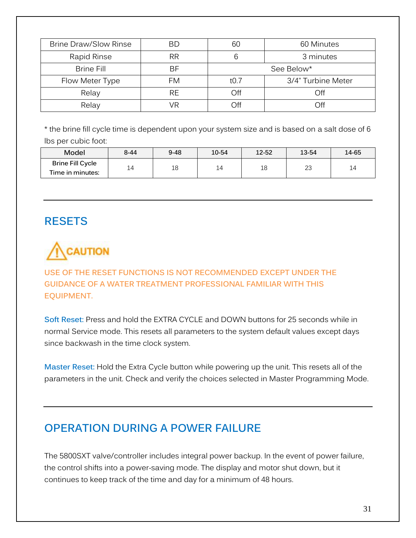| <b>Brine Draw/Slow Rinse</b> | BD        | 60 Minutes<br>60 |                    |  |
|------------------------------|-----------|------------------|--------------------|--|
| Rapid Rinse                  | <b>RR</b> |                  | 3 minutes          |  |
| <b>Brine Fill</b>            | ВF        | See Below*       |                    |  |
| Flow Meter Type              | FM        | t0.7             | 3/4" Turbine Meter |  |
| Relay                        | <b>RE</b> | Off              | Off                |  |
| Relay                        | /R        | Off              | ∩ff                |  |

\* the brine fill cycle time is dependent upon your system size and is based on a salt dose of 6 lbs per cubic foot:

| Model                   | $8 - 44$ | $9 - 48$ | 10-54     | 12-52 | 13-54 | 14-65 |
|-------------------------|----------|----------|-----------|-------|-------|-------|
| <b>Brine Fill Cycle</b> |          | 18       | $\perp$ 4 | 18    | ົ     |       |
| Time in minutes:        | 14       |          |           |       | د∠    | 14    |

## **RESETS**

# CAUTION

### **USE OF THE RESET FUNCTIONS IS NOT RECOMMENDED EXCEPT UNDER THE GUIDANCE OF A WATER TREATMENT PROFESSIONAL FAMILIAR WITH THIS EQUIPMENT.**

**Soft Reset:** Press and hold the EXTRA CYCLE and DOWN buttons for 25 seconds while in normal Service mode. This resets all parameters to the system default values except days since backwash in the time clock system.

**Master Reset:** Hold the Extra Cycle button while powering up the unit. This resets all of the parameters in the unit. Check and verify the choices selected in Master Programming Mode.

## **OPERATION DURING A POWER FAILURE**

The 5800SXT valve/controller includes integral power backup. In the event of power failure, the control shifts into a power-saving mode. The display and motor shut down, but it continues to keep track of the time and day for a minimum of 48 hours.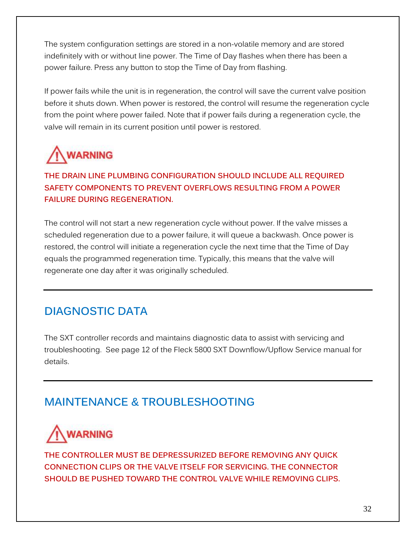The system configuration settings are stored in a non-volatile memory and are stored indefinitely with or without line power. The Time of Day flashes when there has been a power failure. Press any button to stop the Time of Day from flashing.

If power fails while the unit is in regeneration, the control will save the current valve position before it shuts down. When power is restored, the control will resume the regeneration cycle from the point where power failed. Note that if power fails during a regeneration cycle, the valve will remain in its current position until power is restored.

# **WARNING**

## **THE DRAIN LINE PLUMBING CONFIGURATION SHOULD INCLUDE ALL REQUIRED SAFETY COMPONENTS TO PREVENT OVERFLOWS RESULTING FROM A POWER FAILURE DURING REGENERATION.**

The control will not start a new regeneration cycle without power. If the valve misses a scheduled regeneration due to a power failure, it will queue a backwash. Once power is restored, the control will initiate a regeneration cycle the next time that the Time of Day equals the programmed regeneration time. Typically, this means that the valve will regenerate one day after it was originally scheduled.

# **DIAGNOSTIC DATA**

The SXT controller records and maintains diagnostic data to assist with servicing and troubleshooting. See page 12 of the Fleck 5800 SXT Downflow/Upflow Service manual for details.

## **MAINTENANCE & TROUBLESHOOTING**



**THE CONTROLLER MUST BE DEPRESSURIZED BEFORE REMOVING ANY QUICK CONNECTION CLIPS OR THE VALVE ITSELF FOR SERVICING. THE CONNECTOR SHOULD BE PUSHED TOWARD THE CONTROL VALVE WHILE REMOVING CLIPS.**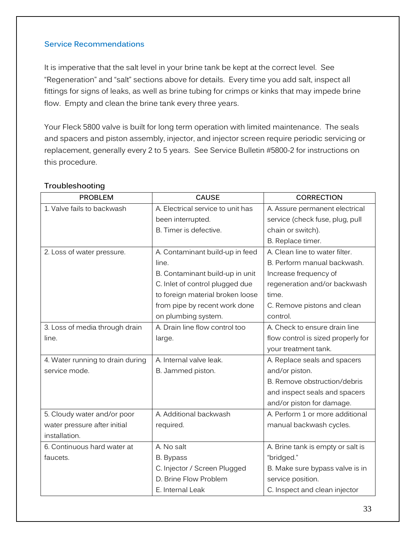#### **Service Recommendations**

It is imperative that the salt level in your brine tank be kept at the correct level. See "Regeneration" and "salt" sections above for details. Every time you add salt, inspect all fittings for signs of leaks, as well as brine tubing for crimps or kinks that may impede brine flow. Empty and clean the brine tank every three years.

Your Fleck 5800 valve is built for long term operation with limited maintenance. The seals and spacers and piston assembly, injector, and injector screen require periodic servicing or replacement, generally every 2 to 5 years. See Service Bulletin #5800-2 for instructions on this procedure.

| <b>PROBLEM</b>                   | <b>CAUSE</b>                      | <b>CORRECTION</b>                  |
|----------------------------------|-----------------------------------|------------------------------------|
| 1. Valve fails to backwash       | A. Electrical service to unit has | A. Assure permanent electrical     |
|                                  | been interrupted.                 | service (check fuse, plug, pull    |
|                                  | B. Timer is defective.            | chain or switch).                  |
|                                  |                                   | B. Replace timer.                  |
| 2. Loss of water pressure.       | A. Contaminant build-up in feed   | A. Clean line to water filter.     |
|                                  | line.                             | B. Perform manual backwash.        |
|                                  | B. Contaminant build-up in unit   | Increase frequency of              |
|                                  | C. Inlet of control plugged due   | regeneration and/or backwash       |
|                                  | to foreign material broken loose  | time.                              |
|                                  | from pipe by recent work done     | C. Remove pistons and clean        |
|                                  | on plumbing system.               | control.                           |
| 3. Loss of media through drain   | A. Drain line flow control too    | A. Check to ensure drain line      |
| line.                            | large.                            | flow control is sized properly for |
|                                  |                                   | your treatment tank.               |
| 4. Water running to drain during | A. Internal valve leak.           | A. Replace seals and spacers       |
| service mode.                    | B. Jammed piston.                 | and/or piston.                     |
|                                  |                                   | B. Remove obstruction/debris       |
|                                  |                                   | and inspect seals and spacers      |
|                                  |                                   | and/or piston for damage.          |
| 5. Cloudy water and/or poor      | A. Additional backwash            | A. Perform 1 or more additional    |
| water pressure after initial     | required.                         | manual backwash cycles.            |
| installation.                    |                                   |                                    |
| 6. Continuous hard water at      | A. No salt                        | A. Brine tank is empty or salt is  |
| faucets.                         | B. Bypass                         | "bridged."                         |
|                                  | C. Injector / Screen Plugged      | B. Make sure bypass valve is in    |
|                                  | D. Brine Flow Problem             | service position.                  |
|                                  | E. Internal Leak                  | C. Inspect and clean injector      |

#### **Troubleshooting**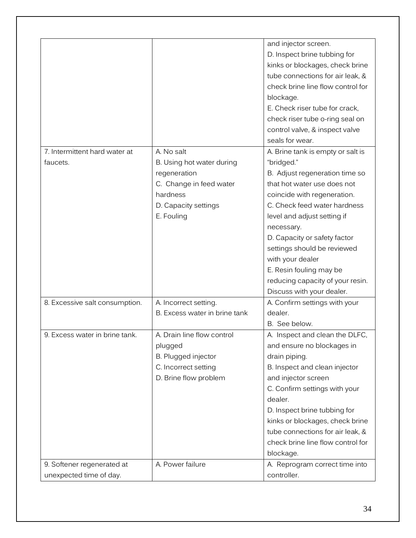|                                |                               | and injector screen.              |
|--------------------------------|-------------------------------|-----------------------------------|
|                                |                               | D. Inspect brine tubbing for      |
|                                |                               | kinks or blockages, check brine   |
|                                |                               | tube connections for air leak, &  |
|                                |                               | check brine line flow control for |
|                                |                               | blockage.                         |
|                                |                               | E. Check riser tube for crack,    |
|                                |                               | check riser tube o-ring seal on   |
|                                |                               | control valve, & inspect valve    |
|                                |                               | seals for wear.                   |
| 7. Intermittent hard water at  | A. No salt                    | A. Brine tank is empty or salt is |
| faucets.                       | B. Using hot water during     | "bridged."                        |
|                                | regeneration                  | B. Adjust regeneration time so    |
|                                | C. Change in feed water       | that hot water use does not       |
|                                | hardness                      | coincide with regeneration.       |
|                                | D. Capacity settings          | C. Check feed water hardness      |
|                                | E. Fouling                    | level and adjust setting if       |
|                                |                               | necessary.                        |
|                                |                               | D. Capacity or safety factor      |
|                                |                               | settings should be reviewed       |
|                                |                               | with your dealer                  |
|                                |                               | E. Resin fouling may be           |
|                                |                               | reducing capacity of your resin.  |
|                                |                               | Discuss with your dealer.         |
| 8. Excessive salt consumption. | A. Incorrect setting.         | A. Confirm settings with your     |
|                                | B. Excess water in brine tank | dealer.                           |
|                                |                               | B. See below.                     |
| 9. Excess water in brine tank. | A. Drain line flow control    | A. Inspect and clean the DLFC.    |
|                                | plugged                       | and ensure no blockages in        |
|                                | B. Plugged injector           | drain piping.                     |
|                                | C. Incorrect setting          | B. Inspect and clean injector     |
|                                | D. Brine flow problem         | and injector screen               |
|                                |                               | C. Confirm settings with your     |
|                                |                               | dealer.                           |
|                                |                               | D. Inspect brine tubbing for      |
|                                |                               | kinks or blockages, check brine   |
|                                |                               | tube connections for air leak, &  |
|                                |                               | check brine line flow control for |
|                                |                               | blockage.                         |
| 9. Softener regenerated at     | A. Power failure              | A. Reprogram correct time into    |
| unexpected time of day.        |                               | controller.                       |
|                                |                               |                                   |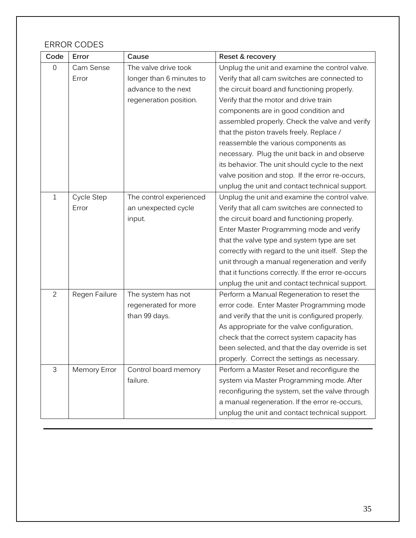### ERROR CODES

| Code           | Error               | Cause                    | Reset & recovery                                    |
|----------------|---------------------|--------------------------|-----------------------------------------------------|
| $\mathbf 0$    | Cam Sense           | The valve drive took     | Unplug the unit and examine the control valve.      |
|                | Error               | longer than 6 minutes to | Verify that all cam switches are connected to       |
|                |                     | advance to the next      | the circuit board and functioning properly.         |
|                |                     | regeneration position.   | Verify that the motor and drive train               |
|                |                     |                          | components are in good condition and                |
|                |                     |                          | assembled properly. Check the valve and verify      |
|                |                     |                          | that the piston travels freely. Replace /           |
|                |                     |                          | reassemble the various components as                |
|                |                     |                          | necessary. Plug the unit back in and observe        |
|                |                     |                          | its behavior. The unit should cycle to the next     |
|                |                     |                          | valve position and stop. If the error re-occurs,    |
|                |                     |                          | unplug the unit and contact technical support.      |
| $\mathbf{1}$   | Cycle Step          | The control experienced  | Unplug the unit and examine the control valve.      |
|                | Error               | an unexpected cycle      | Verify that all cam switches are connected to       |
|                |                     | input.                   | the circuit board and functioning properly.         |
|                |                     |                          | Enter Master Programming mode and verify            |
|                |                     |                          | that the valve type and system type are set         |
|                |                     |                          | correctly with regard to the unit itself. Step the  |
|                |                     |                          | unit through a manual regeneration and verify       |
|                |                     |                          | that it functions correctly. If the error re-occurs |
|                |                     |                          | unplug the unit and contact technical support.      |
| $\overline{2}$ | Regen Failure       | The system has not       | Perform a Manual Regeneration to reset the          |
|                |                     | regenerated for more     | error code. Enter Master Programming mode           |
|                |                     | than 99 days.            | and verify that the unit is configured properly.    |
|                |                     |                          | As appropriate for the valve configuration,         |
|                |                     |                          | check that the correct system capacity has          |
|                |                     |                          | been selected, and that the day override is set     |
|                |                     |                          | properly. Correct the settings as necessary.        |
| 3              | <b>Memory Error</b> | Control board memory     | Perform a Master Reset and reconfigure the          |
|                |                     | failure.                 | system via Master Programming mode. After           |
|                |                     |                          | reconfiguring the system, set the valve through     |
|                |                     |                          | a manual regeneration. If the error re-occurs,      |
|                |                     |                          | unplug the unit and contact technical support.      |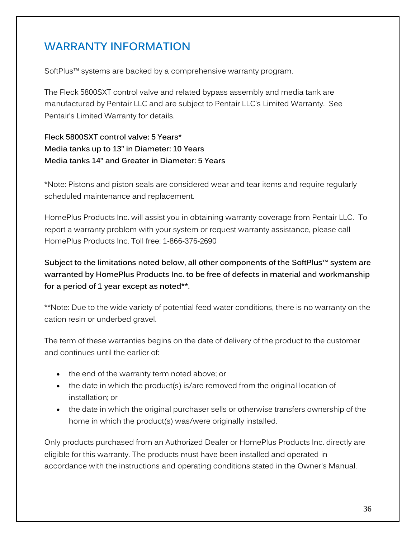## **WARRANTY INFORMATION**

SoftPlus™ systems are backed by a comprehensive warranty program.

The Fleck 5800SXT control valve and related bypass assembly and media tank are manufactured by Pentair LLC and are subject to Pentair LLC's Limited Warranty. See Pentair's Limited Warranty for details.

**Fleck 5800SXT control valve: 5 Years\* Media tanks up to 13" in Diameter: 10 Years Media tanks 14" and Greater in Diameter: 5 Years** 

\*Note: Pistons and piston seals are considered wear and tear items and require regularly scheduled maintenance and replacement.

HomePlus Products Inc. will assist you in obtaining warranty coverage from Pentair LLC. To report a warranty problem with your system or request warranty assistance, please call HomePlus Products Inc. Toll free: 1-866-376-2690

**Subject to the limitations noted below, all other components of the SoftPlus™ system are warranted by HomePlus Products Inc. to be free of defects in material and workmanship for a period of 1 year except as noted\*\*.** 

\*\*Note: Due to the wide variety of potential feed water conditions, there is no warranty on the cation resin or underbed gravel.

The term of these warranties begins on the date of delivery of the product to the customer and continues until the earlier of:

- the end of the warranty term noted above; or
- the date in which the product(s) is/are removed from the original location of installation; or
- the date in which the original purchaser sells or otherwise transfers ownership of the home in which the product(s) was/were originally installed.

Only products purchased from an Authorized Dealer or HomePlus Products Inc. directly are eligible for this warranty. The products must have been installed and operated in accordance with the instructions and operating conditions stated in the Owner's Manual.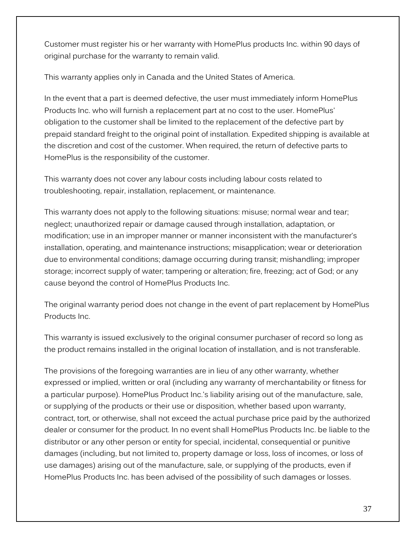Customer must register his or her warranty with HomePlus products Inc. within 90 days of original purchase for the warranty to remain valid.

This warranty applies only in Canada and the United States of America.

In the event that a part is deemed defective, the user must immediately inform HomePlus Products Inc. who will furnish a replacement part at no cost to the user. HomePlus' obligation to the customer shall be limited to the replacement of the defective part by prepaid standard freight to the original point of installation. Expedited shipping is available at the discretion and cost of the customer. When required, the return of defective parts to HomePlus is the responsibility of the customer.

This warranty does not cover any labour costs including labour costs related to troubleshooting, repair, installation, replacement, or maintenance.

This warranty does not apply to the following situations: misuse; normal wear and tear; neglect; unauthorized repair or damage caused through installation, adaptation, or modification; use in an improper manner or manner inconsistent with the manufacturer's installation, operating, and maintenance instructions; misapplication; wear or deterioration due to environmental conditions; damage occurring during transit; mishandling; improper storage; incorrect supply of water; tampering or alteration; fire, freezing; act of God; or any cause beyond the control of HomePlus Products Inc.

The original warranty period does not change in the event of part replacement by HomePlus Products Inc.

This warranty is issued exclusively to the original consumer purchaser of record so long as the product remains installed in the original location of installation, and is not transferable.

The provisions of the foregoing warranties are in lieu of any other warranty, whether expressed or implied, written or oral (including any warranty of merchantability or fitness for a particular purpose). HomePlus Product Inc.'s liability arising out of the manufacture, sale, or supplying of the products or their use or disposition, whether based upon warranty, contract, tort, or otherwise, shall not exceed the actual purchase price paid by the authorized dealer or consumer for the product. In no event shall HomePlus Products Inc. be liable to the distributor or any other person or entity for special, incidental, consequential or punitive damages (including, but not limited to, property damage or loss, loss of incomes, or loss of use damages) arising out of the manufacture, sale, or supplying of the products, even if HomePlus Products Inc. has been advised of the possibility of such damages or losses.